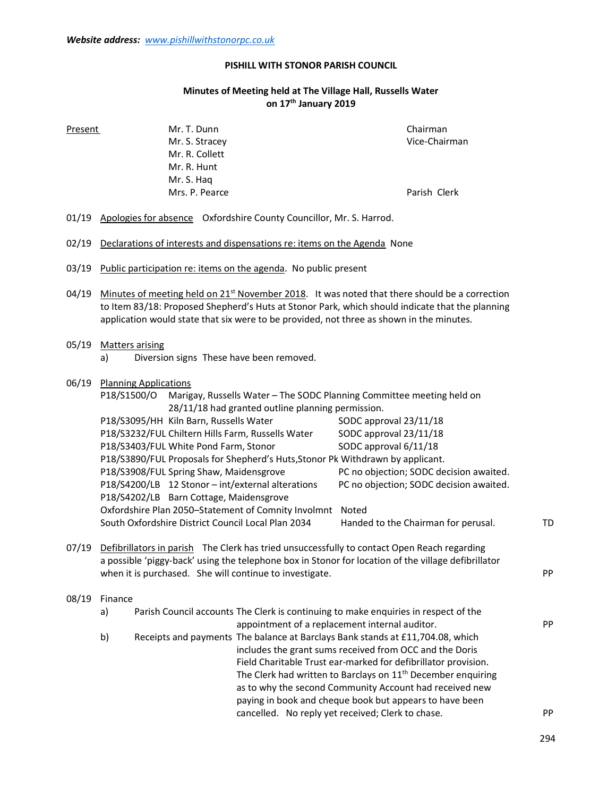#### PISHILL WITH STONOR PARISH COUNCIL

# Minutes of Meeting held at The Village Hall, Russells Water on 17<sup>th</sup> January 2019

 Mr. S. Stracey Vice-Chairman Mr. R. Collett Mr. R. Hunt Mr. S. Haq Mrs. P. Pearce **Parish Clerk** Parish Clerk

Present Mr. T. Dunn Chairman Chairman

- 01/19 Apologies for absence Oxfordshire County Councillor, Mr. S. Harrod.
- 02/19 Declarations of interests and dispensations re: items on the Agenda None
- 03/19 Public participation re: items on the agenda. No public present
- 04/19 Minutes of meeting held on  $21^{st}$  November 2018. It was noted that there should be a correction to Item 83/18: Proposed Shepherd's Huts at Stonor Park, which should indicate that the planning application would state that six were to be provided, not three as shown in the minutes.

#### 05/19 Matters arising

a) Diversion signs These have been removed.

# 06/19 Planning Applications P18/S1500/O Marigay, Russells Water – The SODC Planning Committee meeting held on 28/11/18 had granted outline planning permission. P18/S3095/HH Kiln Barn, Russells Water SODC approval 23/11/18 P18/S3232/FUL Chiltern Hills Farm, Russells Water SODC approval 23/11/18 P18/S3403/FUL White Pond Farm, Stonor SODC approval 6/11/18 P18/S3890/FUL Proposals for Shepherd's Huts,Stonor Pk Withdrawn by applicant. P18/S3908/FUL Spring Shaw, Maidensgrove PC no objection; SODC decision awaited. P18/S4200/LB 12 Stonor – int/external alterations PC no objection; SODC decision awaited. P18/S4202/LB Barn Cottage, Maidensgrove Oxfordshire Plan 2050–Statement of Comnity Involmnt Noted South Oxfordshire District Council Local Plan 2034 Handed to the Chairman for perusal. TD 07/19 Defibrillators in parish The Clerk has tried unsuccessfully to contact Open Reach regarding a possible 'piggy-back' using the telephone box in Stonor for location of the village defibrillator

#### 08/19 Finance

 a) Parish Council accounts The Clerk is continuing to make enquiries in respect of the appointment of a replacement internal auditor. The proposition of  $P$ PP b) Receipts and payments The balance at Barclays Bank stands at £11,704.08, which includes the grant sums received from OCC and the Doris Field Charitable Trust ear-marked for defibrillator provision. The Clerk had written to Barclays on 11<sup>th</sup> December enquiring as to why the second Community Account had received new paying in book and cheque book but appears to have been cancelled. No reply yet received; Clerk to chase. PP

when it is purchased. She will continue to investigate. The example of the example of the example of  $\mathsf{PP}$ 

294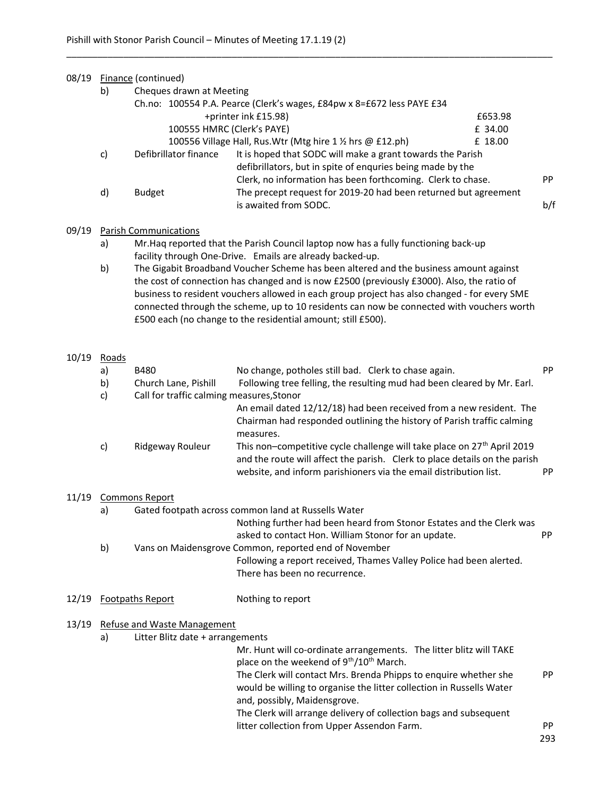| 08/19 | Finance (continued) |                                                                        |                                                                                                                                |     |  |  |  |
|-------|---------------------|------------------------------------------------------------------------|--------------------------------------------------------------------------------------------------------------------------------|-----|--|--|--|
|       | b)                  | Cheques drawn at Meeting                                               |                                                                                                                                |     |  |  |  |
|       |                     | Ch.no: 100554 P.A. Pearce (Clerk's wages, £84pw x 8=£672 less PAYE £34 |                                                                                                                                |     |  |  |  |
|       |                     | +printer ink £15.98)<br>£653.98                                        |                                                                                                                                |     |  |  |  |
|       |                     | 100555 HMRC (Clerk's PAYE)<br>£ 34.00                                  |                                                                                                                                |     |  |  |  |
|       |                     | 100556 Village Hall, Rus. Wtr (Mtg hire 1 1/2 hrs @ £12.ph)<br>£ 18.00 |                                                                                                                                |     |  |  |  |
|       | C)                  | Defibrillator finance                                                  | It is hoped that SODC will make a grant towards the Parish<br>defibrillators, but in spite of enquries being made by the       |     |  |  |  |
|       | d)                  | <b>Budget</b>                                                          | Clerk, no information has been forthcoming. Clerk to chase.<br>The precept request for 2019-20 had been returned but agreement | PP. |  |  |  |
|       |                     |                                                                        | is awaited from SODC.                                                                                                          | b/f |  |  |  |
| 09/19 |                     | <b>Parish Communications</b>                                           |                                                                                                                                |     |  |  |  |

\_\_\_\_\_\_\_\_\_\_\_\_\_\_\_\_\_\_\_\_\_\_\_\_\_\_\_\_\_\_\_\_\_\_\_\_\_\_\_\_\_\_\_\_\_\_\_\_\_\_\_\_\_\_\_\_\_\_\_\_\_\_\_\_\_\_\_\_\_\_\_\_\_\_\_\_\_\_\_\_\_\_\_\_\_\_\_\_\_\_\_\_\_\_

- a) Mr.Haq reported that the Parish Council laptop now has a fully functioning back-up facility through One-Drive. Emails are already backed-up.
- b) The Gigabit Broadband Voucher Scheme has been altered and the business amount against the cost of connection has changed and is now £2500 (previously £3000). Also, the ratio of business to resident vouchers allowed in each group project has also changed - for every SME connected through the scheme, up to 10 residents can now be connected with vouchers worth £500 each (no change to the residential amount; still £500).

#### 10/19 Roads

|       | a)                                                        | <b>B480</b>                               | No change, potholes still bad. Clerk to chase again.                                                                                                                                                                                   | PP. |  |  |
|-------|-----------------------------------------------------------|-------------------------------------------|----------------------------------------------------------------------------------------------------------------------------------------------------------------------------------------------------------------------------------------|-----|--|--|
|       | b)                                                        | Church Lane, Pishill                      | Following tree felling, the resulting mud had been cleared by Mr. Earl.                                                                                                                                                                |     |  |  |
|       | c)                                                        | Call for traffic calming measures, Stonor |                                                                                                                                                                                                                                        |     |  |  |
|       |                                                           |                                           | An email dated 12/12/18) had been received from a new resident. The<br>Chairman had responded outlining the history of Parish traffic calming<br>measures.                                                                             |     |  |  |
|       | C)                                                        | Ridgeway Rouleur                          | This non-competitive cycle challenge will take place on 27 <sup>th</sup> April 2019<br>and the route will affect the parish. Clerk to place details on the parish<br>website, and inform parishioners via the email distribution list. | PP. |  |  |
| 11/19 | <b>Commons Report</b>                                     |                                           |                                                                                                                                                                                                                                        |     |  |  |
|       | Gated footpath across common land at Russells Water<br>a) |                                           |                                                                                                                                                                                                                                        |     |  |  |
|       |                                                           |                                           | Nothing further had been heard from Stonor Estates and the Clerk was<br>asked to contact Hon. William Stonor for an update.                                                                                                            | PP. |  |  |
|       | b)                                                        |                                           | Vans on Maidensgrove Common, reported end of November                                                                                                                                                                                  |     |  |  |
|       |                                                           |                                           |                                                                                                                                                                                                                                        |     |  |  |

 Following a report received, Thames Valley Police had been alerted. There has been no recurrence.

## 12/19 Footpaths Report Nothing to report

#### 13/19 Refuse and Waste Management

a) Litter Blitz date + arrangements

 Mr. Hunt will co-ordinate arrangements. The litter blitz will TAKE place on the weekend of  $9<sup>th</sup>/10<sup>th</sup>$  March. The Clerk will contact Mrs. Brenda Phipps to enquire whether she PP would be willing to organise the litter collection in Russells Water and, possibly, Maidensgrove.

 The Clerk will arrange delivery of collection bags and subsequent litter collection from Upper Assendon Farm.